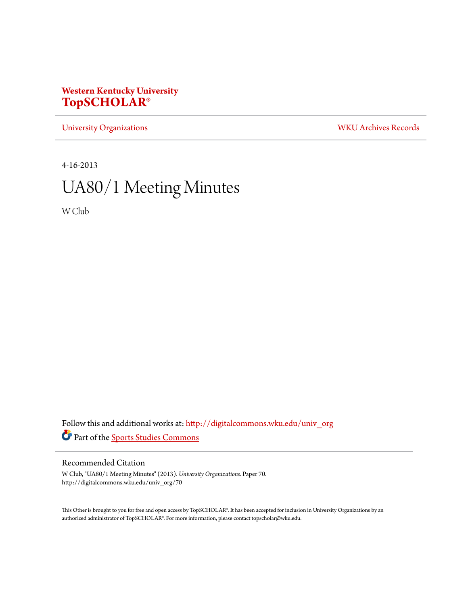# **Western Kentucky University [TopSCHOLAR®](http://digitalcommons.wku.edu?utm_source=digitalcommons.wku.edu%2Funiv_org%2F70&utm_medium=PDF&utm_campaign=PDFCoverPages)**

[University Organizations](http://digitalcommons.wku.edu/univ_org?utm_source=digitalcommons.wku.edu%2Funiv_org%2F70&utm_medium=PDF&utm_campaign=PDFCoverPages) [WKU Archives Records](http://digitalcommons.wku.edu/dlsc_ua_records?utm_source=digitalcommons.wku.edu%2Funiv_org%2F70&utm_medium=PDF&utm_campaign=PDFCoverPages)

4-16-2013

# UA80/1 Meeting Minutes

W Club

Follow this and additional works at: [http://digitalcommons.wku.edu/univ\\_org](http://digitalcommons.wku.edu/univ_org?utm_source=digitalcommons.wku.edu%2Funiv_org%2F70&utm_medium=PDF&utm_campaign=PDFCoverPages) Part of the [Sports Studies Commons](http://network.bepress.com/hgg/discipline/1198?utm_source=digitalcommons.wku.edu%2Funiv_org%2F70&utm_medium=PDF&utm_campaign=PDFCoverPages)

### Recommended Citation

W Club, "UA80/1 Meeting Minutes" (2013). *University Organizations.* Paper 70. http://digitalcommons.wku.edu/univ\_org/70

This Other is brought to you for free and open access by TopSCHOLAR®. It has been accepted for inclusion in University Organizations by an authorized administrator of TopSCHOLAR®. For more information, please contact topscholar@wku.edu.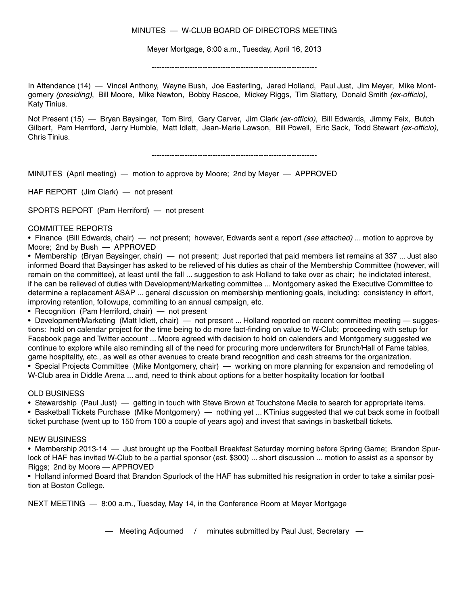### MINUTES — W-CLUB BOARD OF DIRECTORS MEETING

Meyer Mortgage, 8:00 a.m., Tuesday, April 16, 2013

-----------------------------------------------------------------

In Attendance (14) — Vincel Anthony, Wayne Bush, Joe Easterling, Jared Holland, Paul Just, Jim Meyer, Mike Montgomery (presiding), Bill Moore, Mike Newton, Bobby Rascoe, Mickey Riggs, Tim Slattery, Donald Smith (ex-officio), Katy Tinius.

Not Present (15) — Bryan Baysinger, Tom Bird, Gary Carver, Jim Clark *(ex-officio)*, Bill Edwards, Jimmy Feix, Butch Gilbert, Pam Herriford, Jerry Humble, Matt Idlett, Jean-Marie Lawson, Bill Powell, Eric Sack, Todd Stewart (ex-officio), Chris Tinius.

-----------------------------------------------------------------

MINUTES (April meeting) — motion to approve by Moore; 2nd by Meyer — APPROVED

HAF REPORT (Jim Clark) — not present

SPORTS REPORT (Pam Herriford) — not present

### COMMITTEE REPORTS

• Finance (Bill Edwards, chair) — not present; however, Edwards sent a report *(see attached)* ... motion to approve by Moore; 2nd by Bush — APPROVED

• Membership (Bryan Baysinger, chair) — not present; Just reported that paid members list remains at 337 ... Just also informed Board that Baysinger has asked to be relieved of his duties as chair of the Membership Committee (however, will remain on the committee), at least until the fall ... suggestion to ask Holland to take over as chair; he indictated interest, if he can be relieved of duties with Development/Marketing committee ... Montgomery asked the Executive Committee to determine a replacement ASAP ... general discussion on membership mentioning goals, including: consistency in effort, improving retention, followups, commiting to an annual campaign, etc.

• Recognition (Pam Herriford, chair) — not present

• Development/Marketing (Matt Idlett, chair) — not present ... Holland reported on recent committee meeting — suggestions: hold on calendar project for the time being to do more fact-finding on value to W-Club; proceeding with setup for Facebook page and Twitter account ... Moore agreed with decision to hold on calenders and Montgomery suggested we continue to explore while also reminding all of the need for procuring more underwriters for Brunch/Hall of Fame tables, game hospitality, etc., as well as other avenues to create brand recognition and cash streams for the organization. • Special Projects Committee (Mike Montgomery, chair) — working on more planning for expansion and remodeling of W-Club area in Diddle Arena ... and, need to think about options for a better hospitality location for football

#### OLD BUSINESS

• Stewardship (Paul Just) — getting in touch with Steve Brown at Touchstone Media to search for appropriate items. • Basketball Tickets Purchase (Mike Montgomery) — nothing yet ... KTinius suggested that we cut back some in football ticket purchase (went up to 150 from 100 a couple of years ago) and invest that savings in basketball tickets.

#### NEW BUSINESS

• Membership 2013-14 — Just brought up the Football Breakfast Saturday morning before Spring Game; Brandon Spurlock of HAF has invited W-Club to be a partial sponsor (est. \$300) ... short discussion ... motion to assist as a sponsor by Riggs; 2nd by Moore — APPROVED

• Holland informed Board that Brandon Spurlock of the HAF has submitted his resignation in order to take a similar position at Boston College.

NEXT MEETING — 8:00 a.m., Tuesday, May 14, in the Conference Room at Meyer Mortgage

— Meeting Adjourned / minutes submitted by Paul Just, Secretary —